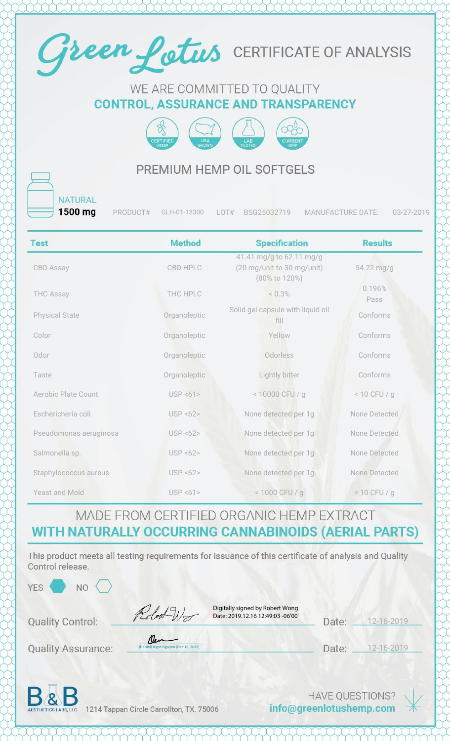

#### WE ARE COMMITTED TO QUALITY **CONTROL, ASSURANCE AND TRANSPARENCY**



#### PREMIUM HEMP OIL SOFTGELS

**NATURAL** 1500 mg

PRODUCT# GLH-01-13300 LOT# BSG25032719 MANUFACTURE DATE: 03-27-2019

| <b>Test</b>                | <b>Method</b> | <b>Specification</b>                                                    | <b>Results</b> |
|----------------------------|---------------|-------------------------------------------------------------------------|----------------|
| <b>CBD Assay</b>           | CBD HPLC      | 41.41 mg/g to 62.11 mg/g<br>(20 mg/unit to 30 mg/unit)<br>(80% to 120%) | 54.22 mg/g     |
| <b>THC Assay</b>           | THC HPLC      | < 0.3%                                                                  | 0.196%<br>Pass |
| <b>Physical State</b>      | Organoleptic  | Solid gel capsule with liquid oil<br>fill                               | Conforms       |
| Color                      | Organoleptic  | Yellow                                                                  | Conforms       |
| Odor                       | Organoleptic  | Odorless                                                                | Conforms       |
| Taste                      | Organoleptic  | Lightly bitter                                                          | Conforms       |
| <b>Aerobic Plate Count</b> | USP < 61      | < 10000 CFU / g                                                         | $< 10$ CFU / g |
| Eschericheria coli         | USP < 62      | None detected per 1g                                                    | None Detected  |
| Pseudomonas aeruginosa     | USP < 62      | None detected per 1g                                                    | None Detected  |
| Salmonella sp.             | USP < 62      | None detected per 1g                                                    | None Detected  |
| Staphylococcus aureus      | USP < 62      | None detected per 1g                                                    | None Detected  |
| Yeast and Mold             | USP < 61      | < 1000 CFU / g                                                          | $< 10$ CFU / g |

### MADE FROM CERTIFIED ORGANIC HEMP EXTRACT WITH NATURALLY OCCURRING CANNABINOIDS (AERIAL PARTS)

This product meets all testing requirements for issuance of this certificate of analysis and Quality Control release.

| YES <sup></sup><br>N <sub>O</sub> |                                                                                   |                                                                                                  |            |
|-----------------------------------|-----------------------------------------------------------------------------------|--------------------------------------------------------------------------------------------------|------------|
| <b>Quality Control:</b>           | Digitally signed by Robert Wong<br>Robert Wo<br>Date: 2019.12.16 12:49:03 -06'00' | Date:                                                                                            | 12-16-2019 |
| <b>Quality Assurance:</b>         | Cen -<br>(Daniel) Ngoc Nguyen (Dec 16, 2019)                                      | Date:                                                                                            | 12-16-2019 |
|                                   |                                                                                   | a control of the state of the control of the state of the state of the control of the control of |            |

D&D

1214 Tappan Circle Carrollton, TX. 75006

**HAVE QUESTIONS?** info@greenlotushemp.com